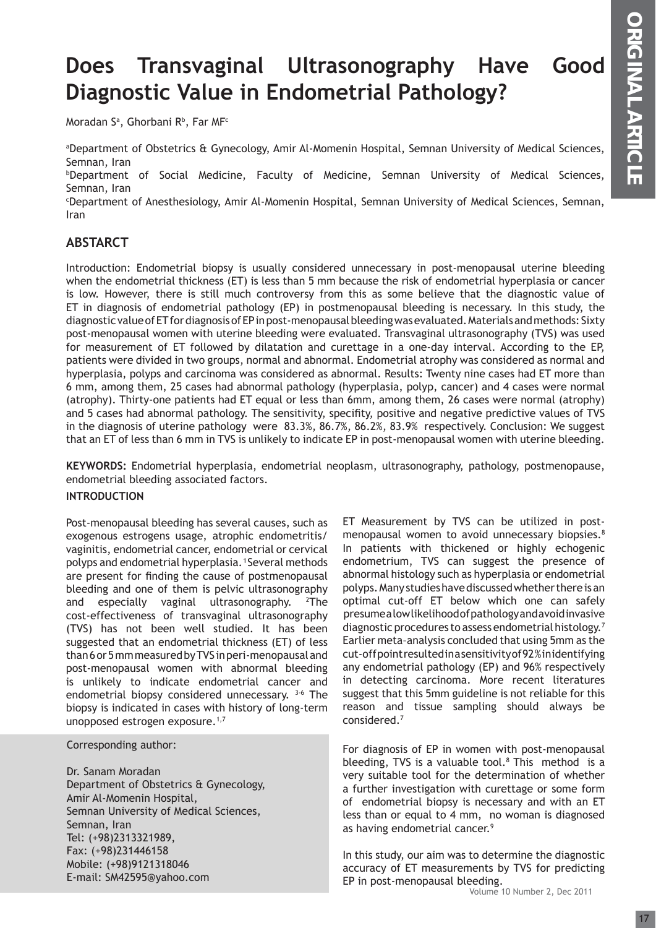# **Does Transvaginal Ultrasonography Have Good Diagnostic Value in Endometrial Pathology?**

Moradan Sª, Ghorbani Rʰ, Far MF<sup>c</sup>

a Department of Obstetrics & Gynecology, Amir Al-Momenin Hospital, Semnan University of Medical Sciences, Semnan, Iran

b Department of Social Medicine, Faculty of Medicine, Semnan University of Medical Sciences, Semnan, Iran

c Department of Anesthesiology, Amir Al-Momenin Hospital, Semnan University of Medical Sciences, Semnan, Iran

# **ABSTARCT**

Introduction: Endometrial biopsy is usually considered unnecessary in post-menopausal uterine bleeding when the endometrial thickness (ET) is less than 5 mm because the risk of endometrial hyperplasia or cancer is low. However, there is still much controversy from this as some believe that the diagnostic value of ET in diagnosis of endometrial pathology (EP) in postmenopausal bleeding is necessary. In this study, the diagnostic value of ET for diagnosis of EP in post-menopausal bleeding was evaluated. Materials and methods: Sixty post-menopausal women with uterine bleeding were evaluated. Transvaginal ultrasonography (TVS) was used for measurement of ET followed by dilatation and curettage in a one-day interval. According to the EP, patients were divided in two groups, normal and abnormal. Endometrial atrophy was considered as normal and hyperplasia, polyps and carcinoma was considered as abnormal. Results: Twenty nine cases had ET more than 6 mm, among them, 25 cases had abnormal pathology (hyperplasia, polyp, cancer) and 4 cases were normal (atrophy). Thirty-one patients had ET equal or less than 6mm, among them, 26 cases were normal (atrophy) and 5 cases had abnormal pathology. The sensitivity, specifity, positive and negative predictive values of TVS in the diagnosis of uterine pathology were 83.3%, 86.7%, 86.2%, 83.9% respectively. Conclusion: We suggest that an ET of less than 6 mm in TVS is unlikely to indicate EP in post-menopausal women with uterine bleeding.

**KEYWORDS:** Endometrial hyperplasia, endometrial neoplasm, ultrasonography, pathology, postmenopause, endometrial bleeding associated factors.

# **INTRODUCTION**

Post-menopausal bleeding has several causes, such as exogenous estrogens usage, atrophic endometritis/ vaginitis, endometrial cancer, endometrial or cervical polyps and endometrial hyperplasia.<sup>1</sup> Several methods are present for finding the cause of postmenopausal bleeding and one of them is pelvic ultrasonography and especially vaginal ultrasonography.  $2$ The cost-effectiveness of transvaginal ultrasonography (TVS) has not been well studied. It has been suggested that an endometrial thickness (ET) of less than 6 or 5 mm measured by TVS in peri-menopausal and post-menopausal women with abnormal bleeding is unlikely to indicate endometrial cancer and endometrial biopsy considered unnecessary. 3-6 The biopsy is indicated in cases with history of long-term unopposed estrogen exposure.<sup>1,7</sup>

Corresponding author:

Dr. Sanam Moradan Department of Obstetrics & Gynecology, Amir Al-Momenin Hospital, Semnan University of Medical Sciences, Semnan, Iran Tel: (+98)2313321989, Fax: (+98)231446158 Mobile: (+98)9121318046 E-mail: SM42595@yahoo.com

ET Measurement by TVS can be utilized in postmenopausal women to avoid unnecessary biopsies.<sup>8</sup> In patients with thickened or highly echogenic endometrium, TVS can suggest the presence of abnormal histology such as hyperplasia or endometrial polyps. Many studies have discussed whether there is an optimal cut-off ET below which one can safely presume a low likelihood of pathology and avoid invasive diagnostic procedures to assess endometrial histology.7 Earlier meta–analysis concluded that using 5mm as the cut-off point resulted in a sensitivity of 92 % in identifying any endometrial pathology (EP) and 96% respectively in detecting carcinoma. More recent literatures suggest that this 5mm guideline is not reliable for this reason and tissue sampling should always be considered.7

For diagnosis of EP in women with post-menopausal bleeding, TVS is a valuable tool.<sup>8</sup> This method is a very suitable tool for the determination of whether a further investigation with curettage or some form of endometrial biopsy is necessary and with an ET less than or equal to 4 mm, no woman is diagnosed as having endometrial cancer.<sup>9</sup>

In this study, our aim was to determine the diagnostic accuracy of ET measurements by TVS for predicting EP in post-menopausal bleeding.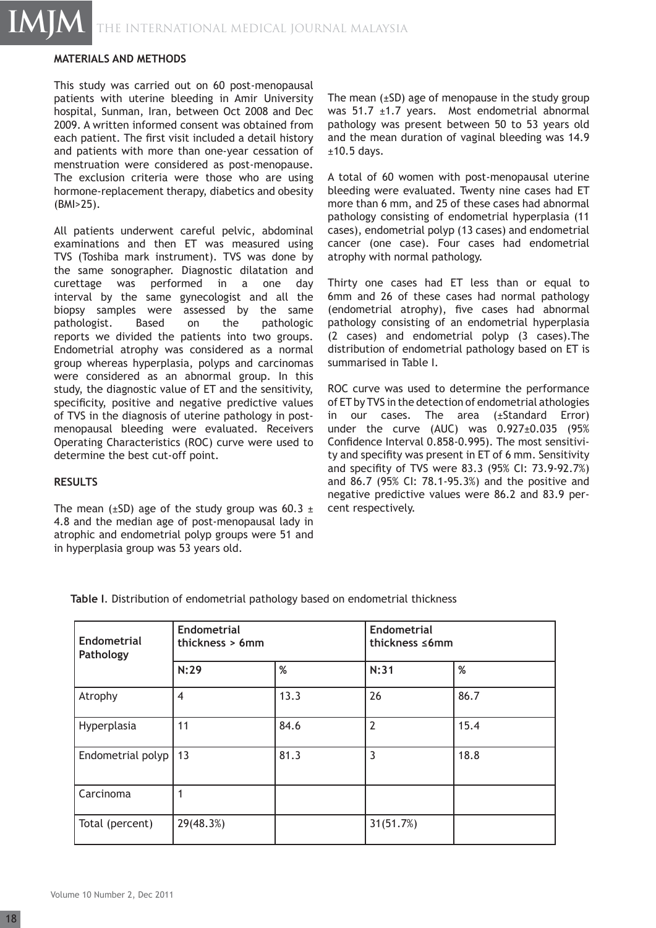THE INTERNATIONAL MEDICAL JOURNAL Malaysia **IMJM**

#### **MATERIALS AND METHODS**

This study was carried out on 60 post-menopausal patients with uterine bleeding in Amir University hospital, Sunman, Iran, between Oct 2008 and Dec 2009. A written informed consent was obtained from each patient. The first visit included a detail history and patients with more than one-year cessation of menstruation were considered as post-menopause. The exclusion criteria were those who are using hormone-replacement therapy, diabetics and obesity (BMI>25).

All patients underwent careful pelvic, abdominal examinations and then ET was measured using TVS (Toshiba mark instrument). TVS was done by the same sonographer. Diagnostic dilatation and curettage was performed in a one day interval by the same gynecologist and all the biopsy samples were assessed by the same pathologist. Based on the pathologic reports we divided the patients into two groups. Endometrial atrophy was considered as a normal group whereas hyperplasia, polyps and carcinomas were considered as an abnormal group. In this study, the diagnostic value of ET and the sensitivity, specificity, positive and negative predictive values of TVS in the diagnosis of uterine pathology in postmenopausal bleeding were evaluated. Receivers Operating Characteristics (ROC) curve were used to determine the best cut-off point.

#### **RESULTS**

The mean ( $\pm$ SD) age of the study group was 60.3  $\pm$ 4.8 and the median age of post-menopausal lady in atrophic and endometrial polyp groups were 51 and in hyperplasia group was 53 years old.

The mean  $(\pm SD)$  age of menopause in the study group was 51.7 ±1.7 years. Most endometrial abnormal pathology was present between 50 to 53 years old and the mean duration of vaginal bleeding was 14.9  $±10.5$  days.

A total of 60 women with post-menopausal uterine bleeding were evaluated. Twenty nine cases had ET more than 6 mm, and 25 of these cases had abnormal pathology consisting of endometrial hyperplasia (11 cases), endometrial polyp (13 cases) and endometrial cancer (one case). Four cases had endometrial atrophy with normal pathology.

Thirty one cases had ET less than or equal to 6mm and 26 of these cases had normal pathology (endometrial atrophy), five cases had abnormal pathology consisting of an endometrial hyperplasia (2 cases) and endometrial polyp (3 cases).The distribution of endometrial pathology based on ET is summarised in Table I.

ROC curve was used to determine the performance of ET by TVS in the detection of endometrial athologies in our cases. The area (±Standard Error) under the curve  $(AUC)$  was  $0.927\pm0.035$  (95%) Confidence Interval 0.858-0.995). The most sensitivity and specifity was present in ET of 6 mm. Sensitivity and specifity of TVS were 83.3 (95% CI: 73.9-92.7%) and 86.7 (95% CI: 78.1-95.3%) and the positive and negative predictive values were 86.2 and 83.9 percent respectively.

| Endometrial<br>Pathology | <b>Endometrial</b><br>thickness $> 6$ mm |      | <b>Endometrial</b><br>thickness ≤6mm |      |
|--------------------------|------------------------------------------|------|--------------------------------------|------|
|                          | N:29                                     | %    | N:31                                 | %    |
| Atrophy                  | $\overline{4}$                           | 13.3 | 26                                   | 86.7 |
| Hyperplasia              | 11                                       | 84.6 | $\overline{2}$                       | 15.4 |
| Endometrial polyp   13   |                                          | 81.3 | 3                                    | 18.8 |
| Carcinoma                | 1                                        |      |                                      |      |
| Total (percent)          | 29(48.3%)                                |      | 31(51.7%)                            |      |

**Table I**. Distribution of endometrial pathology based on endometrial thickness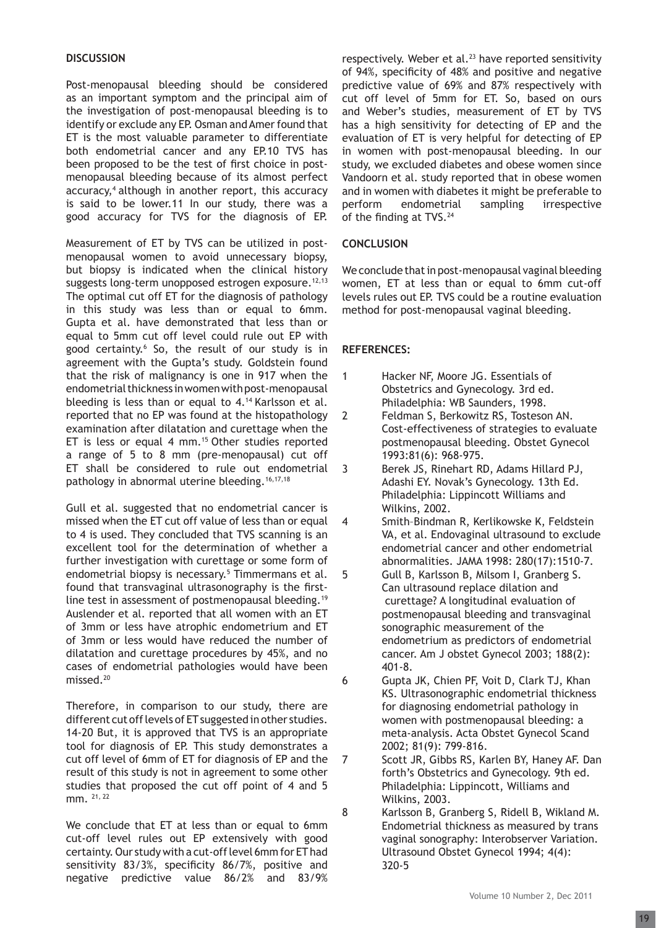#### **DISCUSSION**

Post-menopausal bleeding should be considered as an important symptom and the principal aim of the investigation of post-menopausal bleeding is to identify or exclude any EP. Osman and Amer found that ET is the most valuable parameter to differentiate both endometrial cancer and any EP.10 TVS has been proposed to be the test of first choice in postmenopausal bleeding because of its almost perfect accuracy,<sup>4</sup> although in another report, this accuracy is said to be lower.11 In our study, there was a good accuracy for TVS for the diagnosis of EP.

Measurement of ET by TVS can be utilized in postmenopausal women to avoid unnecessary biopsy, but biopsy is indicated when the clinical history suggests long-term unopposed estrogen exposure.<sup>12,13</sup> The optimal cut off ET for the diagnosis of pathology in this study was less than or equal to 6mm. Gupta et al. have demonstrated that less than or equal to 5mm cut off level could rule out EP with good certainty.<sup>6</sup> So, the result of our study is in agreement with the Gupta's study. Goldstein found that the risk of malignancy is one in 917 when the endometrial thickness in women with post-menopausal bleeding is less than or equal to 4.14 Karlsson et al. reported that no EP was found at the histopathology examination after dilatation and curettage when the ET is less or equal 4 mm.<sup>15</sup> Other studies reported a range of 5 to 8 mm (pre-menopausal) cut off ET shall be considered to rule out endometrial pathology in abnormal uterine bleeding.16,17,18

Gull et al. suggested that no endometrial cancer is missed when the ET cut off value of less than or equal to 4 is used. They concluded that TVS scanning is an excellent tool for the determination of whether a further investigation with curettage or some form of endometrial biopsy is necessary.<sup>5</sup> Timmermans et al. found that transvaginal ultrasonography is the firstline test in assessment of postmenopausal bleeding.<sup>19</sup> Auslender et al. reported that all women with an ET of 3mm or less have atrophic endometrium and ET of 3mm or less would have reduced the number of dilatation and curettage procedures by 45%, and no cases of endometrial pathologies would have been missed.20

Therefore, in comparison to our study, there are different cut off levels of ET suggested in other studies. 14-20 But, it is approved that TVS is an appropriate tool for diagnosis of EP. This study demonstrates a cut off level of 6mm of ET for diagnosis of EP and the result of this study is not in agreement to some other studies that proposed the cut off point of 4 and 5 mm. 21, 22

We conclude that ET at less than or equal to 6mm cut-off level rules out EP extensively with good certainty. Our study with a cut-off level 6mm for ET had sensitivity  $83/3\%$ , specificity  $86/7\%$ , positive and negative predictive value 86/2% and 83/9%

respectively. Weber et al.<sup>23</sup> have reported sensitivity of 94%, specificity of 48% and positive and negative predictive value of 69% and 87% respectively with cut off level of 5mm for ET. So, based on ours and Weber's studies, measurement of ET by TVS has a high sensitivity for detecting of EP and the evaluation of ET is very helpful for detecting of EP in women with post-menopausal bleeding. In our study, we excluded diabetes and obese women since Vandoorn et al. study reported that in obese women and in women with diabetes it might be preferable to perform endometrial sampling irrespective of the finding at TVS. $24$ 

## **CONCLUSION**

We conclude that in post-menopausal vaginal bleeding women, ET at less than or equal to 6mm cut-off levels rules out EP. TVS could be a routine evaluation method for post-menopausal vaginal bleeding.

## **REFERENCES:**

- 1 Hacker NF, Moore JG. Essentials of Obstetrics and Gynecology. 3rd ed. Philadelphia: WB Saunders, 1998.
- 2 Feldman S, Berkowitz RS, Tosteson AN. Cost-effectiveness of strategies to evaluate postmenopausal bleeding. Obstet Gynecol 1993:81(6): 968-975.
- 3 Berek JS, Rinehart RD, Adams Hillard PJ, Adashi EY. Novak's Gynecology. 13th Ed. Philadelphia: Lippincott Williams and Wilkins, 2002.
- 4 Smith–Bindman R, Kerlikowske K, Feldstein VA, et al. Endovaginal ultrasound to exclude endometrial cancer and other endometrial abnormalities. JAMA 1998: 280(17):1510-7.
- 5 Gull B, Karlsson B, Milsom I, Granberg S. Can ultrasound replace dilation and curettage? A longitudinal evaluation of postmenopausal bleeding and transvaginal sonographic measurement of the endometrium as predictors of endometrial cancer. Am J obstet Gynecol 2003; 188(2): 401-8.
- 6 Gupta JK, Chien PF, Voit D, Clark TJ, Khan KS. Ultrasonographic endometrial thickness for diagnosing endometrial pathology in women with postmenopausal bleeding: a meta-analysis. Acta Obstet Gynecol Scand 2002; 81(9): 799-816.
- 7 Scott JR, Gibbs RS, Karlen BY, Haney AF. Dan forth's Obstetrics and Gynecology. 9th ed. Philadelphia: Lippincott, Williams and Wilkins, 2003.
- 8 Karlsson B, Granberg S, Ridell B, Wikland M. Endometrial thickness as measured by trans vaginal sonography: Interobserver Variation. Ultrasound Obstet Gynecol 1994; 4(4): 320-5